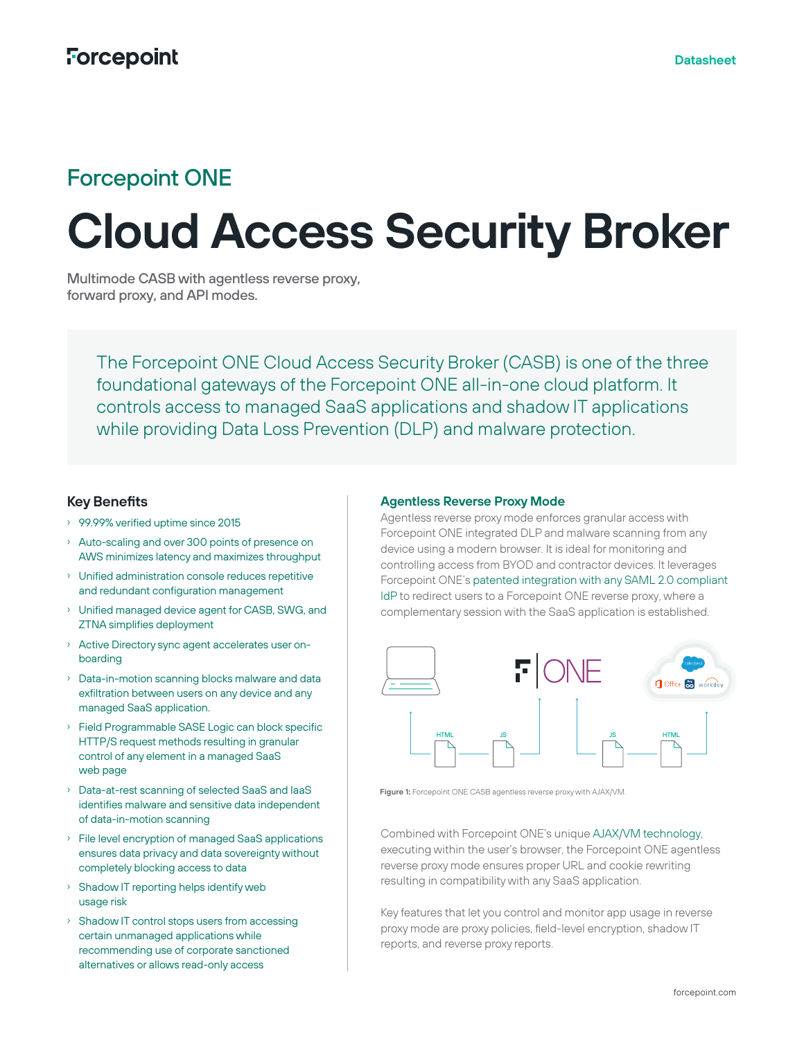# **Cloud Access Security Broker**

Multimode CASB with agentless reverse proxy, forward proxy, and API modes.

The Forcepoint ONE Cloud Access Security Broker (CASB) is one of the three foundational gateways of the Forcepoint ONE all-in-one cloud platform. It controls access to managed SaaS applications and shadow IT applications while providing Data Loss Prevention (DLP) and malware protection.

## **Key Benefits**

- › 99.99% verified uptime since 2015
- › Auto-scaling and over 300 points of presence on AWS minimizes latency and maximizes throughput
- › Unified administration console reduces repetitive and redundant configuration management
- › Unified managed device agent for CASB, SWG, and ZTNA simplifies deployment
- › Active Directory sync agent accelerates user onboarding
- › Data-in-motion scanning blocks malware and data exfiltration between users on any device and any managed SaaS application.
- › Field Programmable SASE Logic can block specific HTTP/S request methods resulting in granular control of any element in a managed SaaS web page
- › Data-at-rest scanning of selected SaaS and IaaS identifies malware and sensitive data independent of data-in-motion scanning
- › File level encryption of managed SaaS applications ensures data privacy and data sovereignty without completely blocking access to data
- › Shadow IT reporting helps identify web usage risk
- › Shadow IT control stops users from accessing certain unmanaged applications while recommending use of corporate sanctioned alternatives or allows read-only access

## **Agentless Reverse Proxy Mode**

Agentless reverse proxy mode enforces granular access with Forcepoint ONE integrated DLP and malware scanning from any device using a modern browser. It is ideal for monitoring and controlling access from BYOD and contractor devices. It leverages Forcepoint ONE's [patented integration with any SAML 2.0 compliant](https://www.forcepoint.com/resources/brochures/forcepoint-one-top-unique-technologies)  [IdP](https://www.forcepoint.com/resources/brochures/forcepoint-one-top-unique-technologies) to redirect users to a Forcepoint ONE reverse proxy, where a complementary session with the SaaS application is established.



**Figure 1:** Forcepoint ONE CASB agentless reverse proxy with AJAX/VM.

Combined with Forcepoint ONE's unique [AJAX/VM technology,](https://www.forcepoint.com/resources/brochures/forcepoint-one-top-unique-technologies) executing within the user's browser, the Forcepoint ONE agentless reverse proxy mode ensures proper URL and cookie rewriting resulting in compatibility with any SaaS application.

Key features that let you control and monitor app usage in reverse proxy mode are proxy policies, field-level encryption, shadow IT reports, and reverse proxy reports.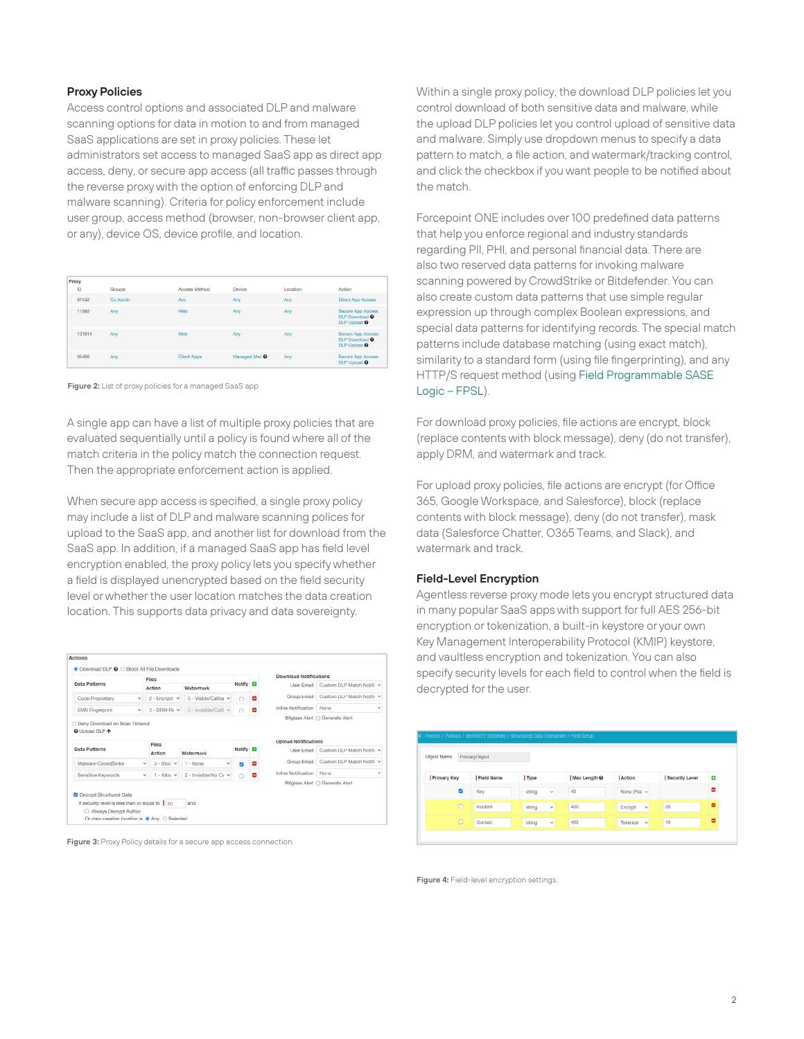#### **Proxy Policies**

Access control options and associated DLP and malware scanning options for data in motion to and from managed SaaS applications are set in proxy policies. These let administrators set access to managed SaaS app as direct app access, deny, or secure app access (all traffic passes through the reverse proxy with the option of enforcing DLP and malware scanning). Criteria for policy enforcement include user group, access method (browser, non-browser client app, or any), device OS, device profile, and location.

| Proxy  |          |               |                          |            |                                                                                  |
|--------|----------|---------------|--------------------------|------------|----------------------------------------------------------------------------------|
| ID     | Groups   | Access Method | Device                   | Location   | Action                                                                           |
| 97432  | Co Admin | Any           | Any                      | Anv        | <b>Direct App Access</b>                                                         |
| 11592  | Any      | Web           | Any                      | Any        | Secure App Access<br><b>DLP Download @</b><br>DLP Upload <sup>O</sup>            |
| 131814 | Any      | <b>Wob</b>    | Any                      | <b>Any</b> | Secure App Access<br><b>DLP</b> Download <sup>O</sup><br>DLP Upload <sup>O</sup> |
| 95496  | Any      | Client Apps   | Managed Mac <sup>O</sup> | Any        | Secure App Access<br><b>DLP Upload @</b>                                         |

**Figure 2:** List of proxy policies for a managed SaaS app

A single app can have a list of multiple proxy policies that are evaluated sequentially until a policy is found where all of the match criteria in the policy match the connection request. Then the appropriate enforcement action is applied.

When secure app access is specified, a single proxy policy may include a list of DLP and malware scanning polices for upload to the SaaS app, and another list for download from the SaaS app. In addition, if a managed SaaS app has field level encryption enabled, the proxy policy lets you specify whether a field is displayed unencrypted based on the field security level or whether the user location matches the data creation location. This supports data privacy and data sovereignty.





Within a single proxy policy, the download DLP policies let you control download of both sensitive data and malware, while the upload DLP policies let you control upload of sensitive data and malware. Simply use dropdown menus to specify a data pattern to match, a file action, and watermark/tracking control, and click the checkbox if you want people to be notified about the match.

Forcepoint ONE includes over 100 predefined data patterns that help you enforce regional and industry standards regarding PII, PHI, and personal financial data. There are also two reserved data patterns for invoking malware scanning powered by CrowdStrike or Bitdefender. You can also create custom data patterns that use simple regular expression up through complex Boolean expressions, and special data patterns for identifying records. The special match patterns include database matching (using exact match), similarity to a standard form (using file fingerprinting), and any HTTP/S request method (using [Field Programmable SASE](https://www.forcepoint.com/resources/brochures/forcepoint-one-top-unique-technologies)  [Logic – FPSL](https://www.forcepoint.com/resources/brochures/forcepoint-one-top-unique-technologies)).

For download proxy policies, file actions are encrypt, block (replace contents with block message), deny (do not transfer), apply DRM, and watermark and track.

For upload proxy policies, file actions are encrypt (for Office 365, Google Workspace, and Salesforce), block (replace contents with block message), deny (do not transfer), mask data (Salesforce Chatter, O365 Teams, and Slack), and watermark and track.

#### **Field-Level Encryption**

Agentless reverse proxy mode lets you encrypt structured data in many popular SaaS apps with support for full AES 256-bit encryption or tokenization, a built-in keystore or your own Key Management Interoperability Protocol (KMIP) keystore, and vaultless encryption and tokenization. You can also specify security levels for each field to control when the field is decrypted for the user.

| Object Name             | PrimaryObject |                        |                         |                         |                |   |
|-------------------------|---------------|------------------------|-------------------------|-------------------------|----------------|---|
| <b>Primary Key</b>      | Field Name    | Type                   | Max Length <sup>O</sup> | Action                  | Security Level | o |
| $\overline{\mathbf{z}}$ | Key           | string<br>$\checkmark$ | 40                      | None (Plal $\vee$       |                | ۰ |
| $\Box$                  | Incident      | string<br>$\checkmark$ | 400                     | Encrypt<br>$\checkmark$ | 20             | ۰ |

**Figure 4:** Field-level encryption settings.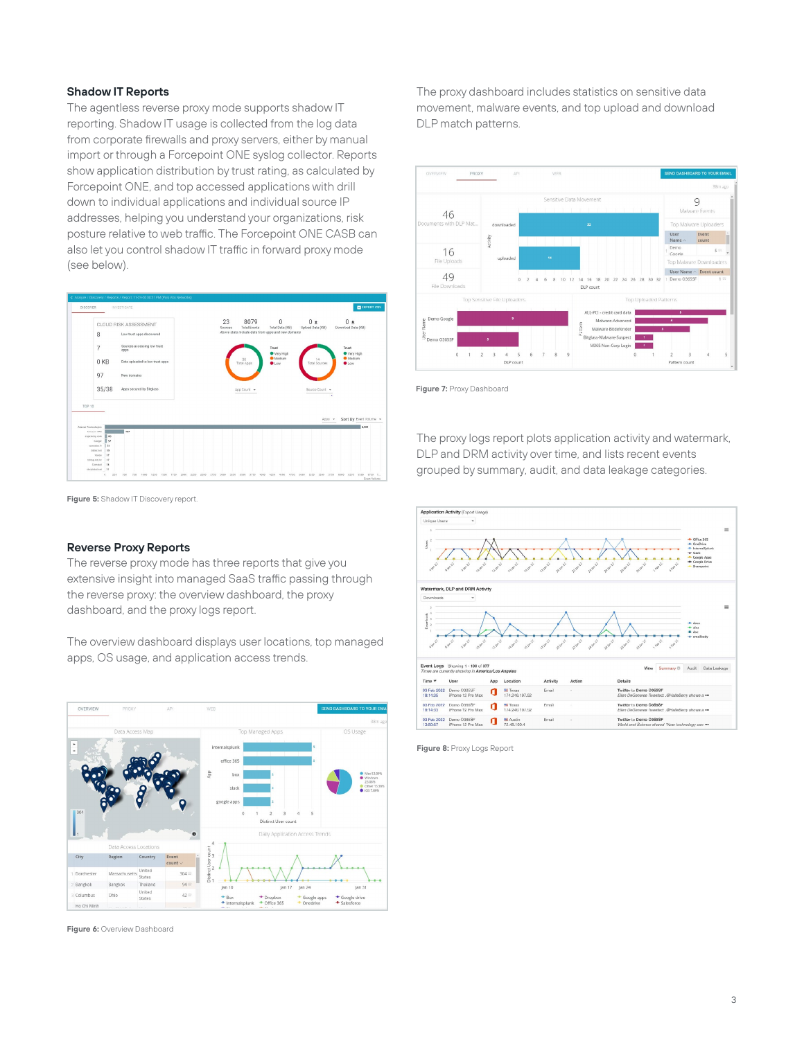#### **Shadow IT Reports**

The agentless reverse proxy mode supports shadow IT reporting. Shadow IT usage is collected from the log data from corporate firewalls and proxy servers, either by manual import or through a Forcepoint ONE syslog collector. Reports show application distribution by trust rating, as calculated by Forcepoint ONE, and top accessed applications with drill down to individual applications and individual source IP addresses, helping you understand your organizations, risk posture relative to web traffic. The Forcepoint ONE CASB can also let you control shadow IT traffic in forward proxy mode (see below).



**Figure 5:** Shadow IT Discovery report.

#### **Reverse Proxy Reports**

The reverse proxy mode has three reports that give you extensive insight into managed SaaS traffic passing through the reverse proxy: the overview dashboard, the proxy dashboard, and the proxy logs report.

The overview dashboard displays user locations, top managed apps, OS usage, and application access trends.



**Figure 6:** Overview Dashboard

The proxy dashboard includes statistics on sensitive data movement, malware events, and top upload and download DLP match patterns.



**Figure 7:** Proxy Dashboard

The proxy logs report plots application activity and watermark, DLP and DRM activity over time, and lists recent events grouped by summary, audit, and data leakage categories.



**Figure 8:** Proxy Logs Report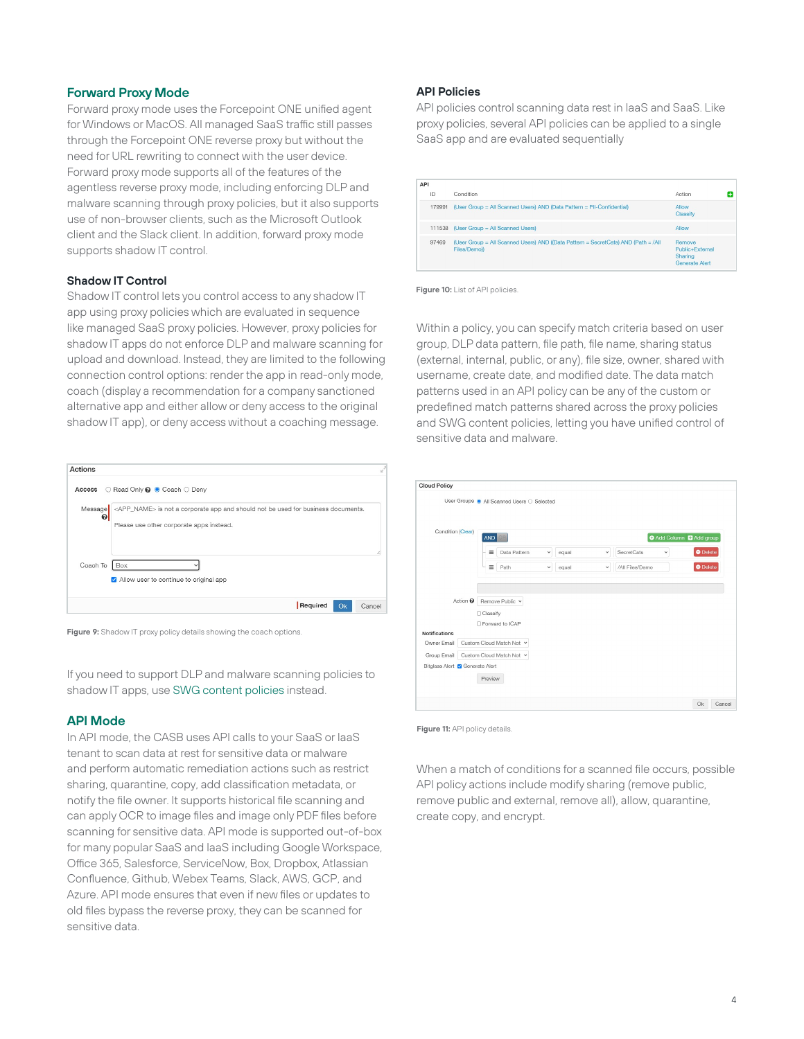#### **Forward Proxy Mode**

Forward proxy mode uses the Forcepoint ONE unified agent for Windows or MacOS. All managed SaaS traffic still passes through the Forcepoint ONE reverse proxy but without the need for URL rewriting to connect with the user device. Forward proxy mode supports all of the features of the agentless reverse proxy mode, including enforcing DLP and malware scanning through proxy policies, but it also supports use of non-browser clients, such as the Microsoft Outlook client and the Slack client. In addition, forward proxy mode supports shadow IT control.

## **Shadow IT Control**

Shadow IT control lets you control access to any shadow IT app using proxy policies which are evaluated in sequence like managed SaaS proxy policies. However, proxy policies for shadow IT apps do not enforce DLP and malware scanning for upload and download. Instead, they are limited to the following connection control options: render the app in read-only mode, coach (display a recommendation for a company sanctioned alternative app and either allow or deny access to the original shadow IT app), or deny access without a coaching message.





If you need to support DLP and malware scanning policies to shadow IT apps, use [SWG content policies](https://www.forcepoint.com/resources/datasheets/secure-web-gateway) instead.

## **API Mode**

In API mode, the CASB uses API calls to your SaaS or IaaS tenant to scan data at rest for sensitive data or malware and perform automatic remediation actions such as restrict sharing, quarantine, copy, add classification metadata, or notify the file owner. It supports historical file scanning and can apply OCR to image files and image only PDF files before scanning for sensitive data. API mode is supported out-of-box for many popular SaaS and IaaS including Google Workspace, Office 365, Salesforce, ServiceNow, Box, Dropbox, Atlassian Confluence, Github, Webex Teams, Slack, AWS, GCP, and Azure. API mode ensures that even if new files or updates to old files bypass the reverse proxy, they can be scanned for sensitive data.

#### **API Policies**

API policies control scanning data rest in IaaS and SaaS. Like proxy policies, several API policies can be applied to a single SaaS app and are evaluated sequentially

| API    |                                                                                                    |                                                        |  |
|--------|----------------------------------------------------------------------------------------------------|--------------------------------------------------------|--|
| ID     | Condition                                                                                          | Action                                                 |  |
| 179991 | (User Group = All Scanned Users) AND (Data Pattern = PII-Confidential)                             | Allow<br>Classify                                      |  |
| 111538 | (User Group = All Scanned Users)                                                                   | Allow                                                  |  |
| 97469  | (User Group = All Scanned Users) AND ((Data Pattern = SecretCats) AND (Path = /All<br>Files/Demol) | Remove<br>Public+External<br>Sharing<br>Generate Alert |  |

**Figure 10:** List of API policies

Within a policy, you can specify match criteria based on user group, DLP data pattern, file path, file name, sharing status (external, internal, public, or any), file size, owner, shared with username, create date, and modified date. The data match patterns used in an API policy can be any of the custom or predefined match patterns shared across the proxy policies and SWG content policies, letting you have unified control of sensitive data and malware.

| <b>Cloud Policy</b>                    |            |                                            |              |       |              |                 |             |                                        |  |
|----------------------------------------|------------|--------------------------------------------|--------------|-------|--------------|-----------------|-------------|----------------------------------------|--|
|                                        |            | User Groups @ All Scanned Users O Selected |              |       |              |                 |             |                                        |  |
| Condition (Clear)                      | <b>AND</b> | i¤                                         |              |       |              |                 |             | <b>O</b> Add Column <b>D</b> Add group |  |
|                                        | $\equiv$   | Data Pattern                               | $\checkmark$ | equal | $\checkmark$ | SecretCats      | $\check{~}$ | $\bullet$ Delete                       |  |
|                                        | $\equiv$   | Path                                       | $\checkmark$ | equal | $\checkmark$ | /All Files/Demo |             | <b>O</b> Delete                        |  |
| <b>Notifications</b>                   | □ Classify | □ Forward to ICAP                          |              |       |              |                 |             |                                        |  |
| Owner Email                            |            | Custom Cloud Match Not Y                   |              |       |              |                 |             |                                        |  |
| Group Email                            |            | Custom Cloud Match Not Y                   |              |       |              |                 |             |                                        |  |
| Bitglass Alert <b>Z</b> Generate Alert |            |                                            |              |       |              |                 |             |                                        |  |
|                                        | Preview    |                                            |              |       |              |                 |             |                                        |  |
|                                        |            |                                            |              |       |              |                 |             |                                        |  |

**Figure 11: API policy details** 

When a match of conditions for a scanned file occurs, possible API policy actions include modify sharing (remove public, remove public and external, remove all), allow, quarantine, create copy, and encrypt.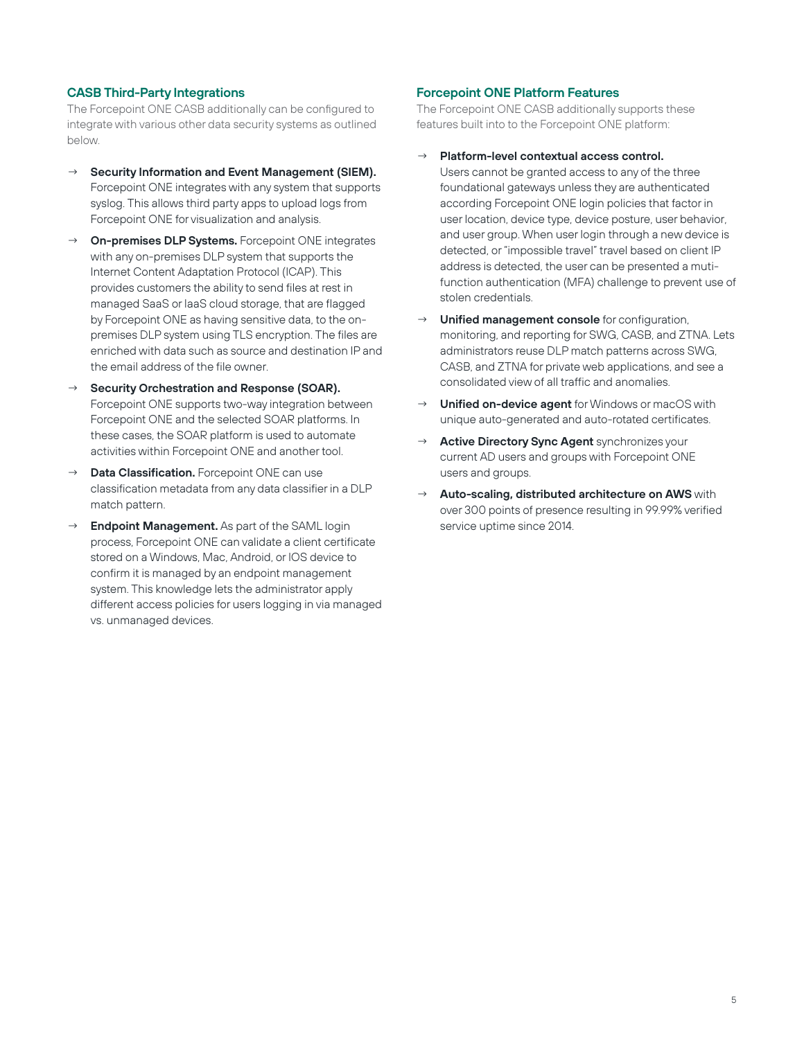## **CASB Third-Party Integrations**

The Forcepoint ONE CASB additionally can be configured to integrate with various other data security systems as outlined below.

- **Security Information and Event Management (SIEM).** Forcepoint ONE integrates with any system that supports syslog. This allows third party apps to upload logs from Forcepoint ONE for visualization and analysis.
- **On-premises DLP Systems.** Forcepoint ONE integrates with any on-premises DLP system that supports the Internet Content Adaptation Protocol (ICAP). This provides customers the ability to send files at rest in managed SaaS or IaaS cloud storage, that are flagged by Forcepoint ONE as having sensitive data, to the onpremises DLP system using TLS encryption. The files are enriched with data such as source and destination IP and the email address of the file owner.
- **Security Orchestration and Response (SOAR).** Forcepoint ONE supports two-way integration between Forcepoint ONE and the selected SOAR platforms. In these cases, the SOAR platform is used to automate activities within Forcepoint ONE and another tool.
- Data Classification. Forcepoint ONE can use classification metadata from any data classifier in a DLP match pattern.
- **Endpoint Management.** As part of the SAML login process, Forcepoint ONE can validate a client certificate stored on a Windows, Mac, Android, or IOS device to confirm it is managed by an endpoint management system. This knowledge lets the administrator apply different access policies for users logging in via managed vs. unmanaged devices.

## **Forcepoint ONE Platform Features**

The Forcepoint ONE CASB additionally supports these features built into to the Forcepoint ONE platform:

- **Platform-level contextual access control.** Users cannot be granted access to any of the three foundational gateways unless they are authenticated according Forcepoint ONE login policies that factor in user location, device type, device posture, user behavior, and user group. When user login through a new device is detected, or "impossible travel" travel based on client IP address is detected, the user can be presented a mutifunction authentication (MFA) challenge to prevent use of stolen credentials.
- **Unified management console** for configuration, monitoring, and reporting for SWG, CASB, and ZTNA. Lets administrators reuse DLP match patterns across SWG, CASB, and ZTNA for private web applications, and see a consolidated view of all traffic and anomalies.
- **Unified on-device agent** for Windows or macOS with unique auto-generated and auto-rotated certificates.
- **Active Directory Sync Agent synchronizes your** current AD users and groups with Forcepoint ONE users and groups.
- Auto-scaling, distributed architecture on AWS with over 300 points of presence resulting in 99.99% verified service uptime since 2014.